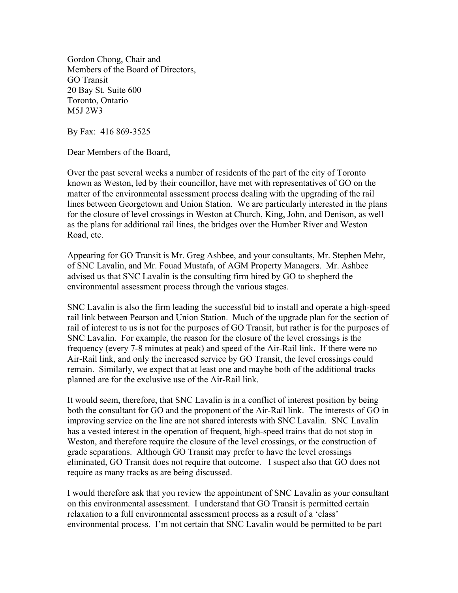Gordon Chong, Chair and Members of the Board of Directors, GO Transit 20 Bay St. Suite 600 Toronto, Ontario M5J 2W3

By Fax: 416 869-3525

Dear Members of the Board,

Over the past several weeks a number of residents of the part of the city of Toronto known as Weston, led by their councillor, have met with representatives of GO on the matter of the environmental assessment process dealing with the upgrading of the rail lines between Georgetown and Union Station. We are particularly interested in the plans for the closure of level crossings in Weston at Church, King, John, and Denison, as well as the plans for additional rail lines, the bridges over the Humber River and Weston Road, etc.

Appearing for GO Transit is Mr. Greg Ashbee, and your consultants, Mr. Stephen Mehr, of SNC Lavalin, and Mr. Fouad Mustafa, of AGM Property Managers. Mr. Ashbee advised us that SNC Lavalin is the consulting firm hired by GO to shepherd the environmental assessment process through the various stages.

SNC Lavalin is also the firm leading the successful bid to install and operate a high-speed rail link between Pearson and Union Station. Much of the upgrade plan for the section of rail of interest to us is not for the purposes of GO Transit, but rather is for the purposes of SNC Lavalin. For example, the reason for the closure of the level crossings is the frequency (every 7-8 minutes at peak) and speed of the Air-Rail link. If there were no Air-Rail link, and only the increased service by GO Transit, the level crossings could remain. Similarly, we expect that at least one and maybe both of the additional tracks planned are for the exclusive use of the Air-Rail link.

It would seem, therefore, that SNC Lavalin is in a conflict of interest position by being both the consultant for GO and the proponent of the Air-Rail link. The interests of GO in improving service on the line are not shared interests with SNC Lavalin. SNC Lavalin has a vested interest in the operation of frequent, high-speed trains that do not stop in Weston, and therefore require the closure of the level crossings, or the construction of grade separations. Although GO Transit may prefer to have the level crossings eliminated, GO Transit does not require that outcome. I suspect also that GO does not require as many tracks as are being discussed.

I would therefore ask that you review the appointment of SNC Lavalin as your consultant on this environmental assessment. I understand that GO Transit is permitted certain relaxation to a full environmental assessment process as a result of a 'class' environmental process. I'm not certain that SNC Lavalin would be permitted to be part